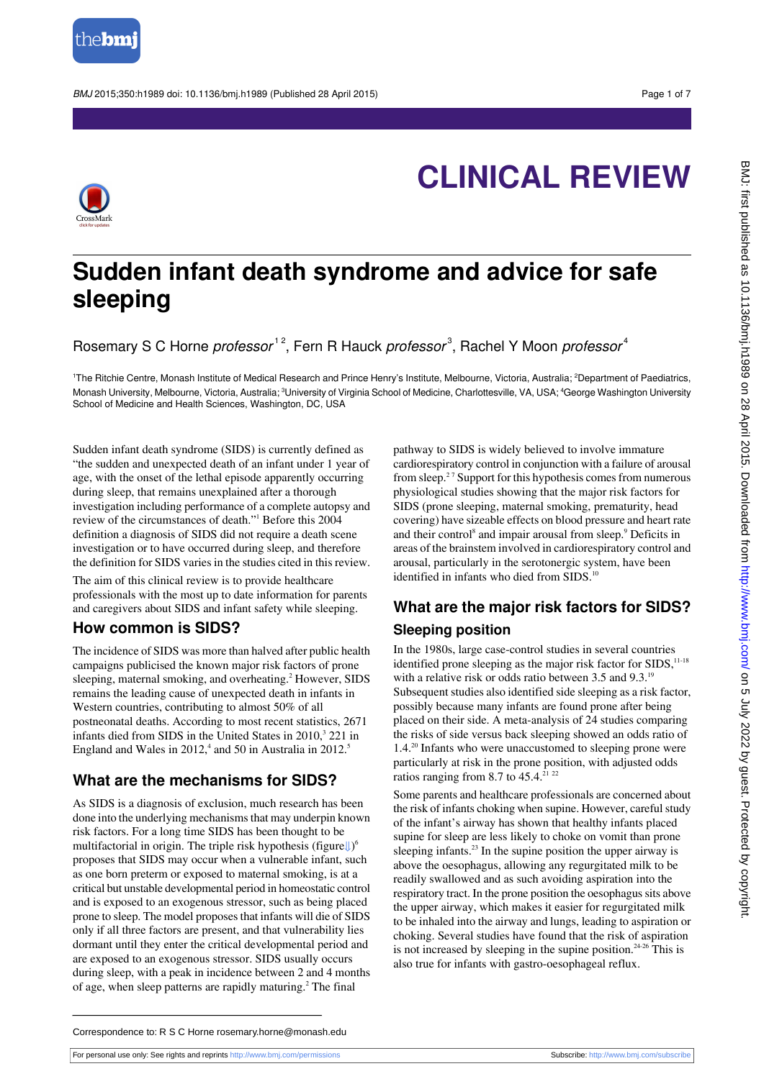

BMJ 2015:350:h1989 doi: 10.1136/bmj.h1989 (Published 28 April 2015) Page 1 of 7



# **CLINICAL REVIEW**

## **Sudden infant death syndrome and advice for safe sleeping**

Rosemary S C Horne *professor* 12, Fern R Hauck *professor*<sup>3</sup>, Rachel Y Moon *professor* 4

<sup>1</sup>The Ritchie Centre, Monash Institute of Medical Research and Prince Henry's Institute, Melbourne, Victoria, Australia: <sup>2</sup>Department of Paediatrics, Monash University, Melbourne, Victoria, Australia; <sup>3</sup>University of Virginia School of Medicine, Charlottesville, VA, USA; <sup>4</sup>George Washington University School of Medicine and Health Sciences, Washington, DC, USA

Sudden infant death syndrome (SIDS) is currently defined as "the sudden and unexpected death of an infant under 1 year of age, with the onset of the lethal episode apparently occurring during sleep, that remains unexplained after a thorough investigation including performance of a complete autopsy and review of the circumstances of death."<sup>1</sup> Before this 2004 definition a diagnosis of SIDS did not require a death scene investigation or to have occurred during sleep, and therefore the definition for SIDS varies in the studies cited in this review.

The aim of this clinical review is to provide healthcare professionals with the most up to date information for parents and caregivers about SIDS and infant safety while sleeping.

#### **How common is SIDS?**

The incidence of SIDS was more than halved after public health campaigns publicised the known major risk factors of prone sleeping, maternal smoking, and overheating.<sup>2</sup> However, SIDS remains the leading cause of unexpected death in infants in Western countries, contributing to almost 50% of all postneonatal deaths. According to most recent statistics, 2671 infants died from SIDS in the United States in  $2010$ ,<sup>3</sup> 221 in England and Wales in  $2012<sup>4</sup>$  and 50 in Australia in  $2012<sup>5</sup>$ 

#### **What are the mechanisms for SIDS?**

As SIDS is a diagnosis of exclusion, much research has been done into the underlying mechanisms that may underpin known risk factors. For a long time SIDS has been thought to be multifactorial in origin. The triple risk hypothesis (figure↓)<sup>6</sup> proposes that SIDS may occur when a vulnerable infant, such as one born preterm or exposed to maternal smoking, is at a critical but unstable developmental period in homeostatic control and is exposed to an exogenous stressor, such as being placed prone to sleep. The model proposes that infants will die of SIDS only if all three factors are present, and that vulnerability lies dormant until they enter the critical developmental period and are exposed to an exogenous stressor. SIDS usually occurs during sleep, with a peak in incidence between 2 and 4 months of age, when sleep patterns are rapidly maturing.<sup>2</sup> The final

pathway to SIDS is widely believed to involve immature cardiorespiratory control in conjunction with a failure of arousal from sleep. $27$  Support for this hypothesis comes from numerous physiological studies showing that the major risk factors for SIDS (prone sleeping, maternal smoking, prematurity, head covering) have sizeable effects on blood pressure and heart rate and their control<sup>8</sup> and impair arousal from sleep.<sup>9</sup> Deficits in areas of the brainstem involved in cardiorespiratory control and arousal, particularly in the serotonergic system, have been identified in infants who died from SIDS.<sup>1</sup>

### **What are the major risk factors for SIDS? Sleeping position**

In the 1980s, large case-control studies in several countries identified prone sleeping as the major risk factor for SIDS,<sup>11-18</sup> with a relative risk or odds ratio between 3.5 and 9.3.<sup>19</sup> Subsequent studies also identified side sleeping as a risk factor, possibly because many infants are found prone after being placed on their side. A meta-analysis of 24 studies comparing the risks of side versus back sleeping showed an odds ratio of 1.4.<sup>20</sup> Infants who were unaccustomed to sleeping prone were particularly at risk in the prone position, with adjusted odds ratios ranging from 8.7 to  $45.4$ .<sup>21 22</sup>

Some parents and healthcare professionals are concerned about the risk of infants choking when supine. However, careful study of the infant's airway has shown that healthy infants placed supine for sleep are less likely to choke on vomit than prone sleeping infants.<sup>23</sup> In the supine position the upper airway is above the oesophagus, allowing any regurgitated milk to be readily swallowed and as such avoiding aspiration into the respiratory tract. In the prone position the oesophagus sits above the upper airway, which makes it easier for regurgitated milk to be inhaled into the airway and lungs, leading to aspiration or choking. Several studies have found that the risk of aspiration is not increased by sleeping in the supine position.<sup>24-26</sup> This is also true for infants with gastro-oesophageal reflux.

Correspondence to: R S C Horne rosemary.horne@monash.edu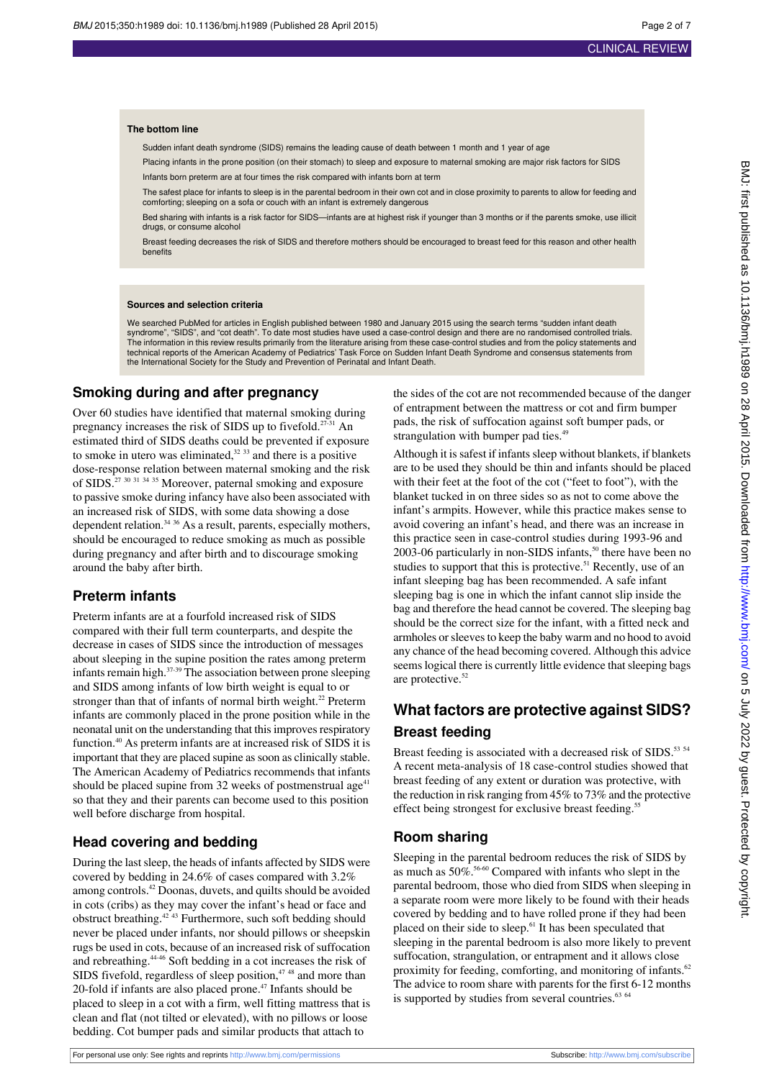#### **The bottom line**

Sudden infant death syndrome (SIDS) remains the leading cause of death between 1 month and 1 year of age

Placing infants in the prone position (on their stomach) to sleep and exposure to maternal smoking are major risk factors for SIDS Infants born preterm are at four times the risk compared with infants born at term

The safest place for infants to sleep is in the parental bedroom in their own cot and in close proximity to parents to allow for feeding and comforting; sleeping on a sofa or couch with an infant is extremely dangerous

Bed sharing with infants is a risk factor for SIDS—infants are at highest risk if younger than 3 months or if the parents smoke, use illicit drugs, or consume alcohol

Breast feeding decreases the risk of SIDS and therefore mothers should be encouraged to breast feed for this reason and other health benefits

#### **Sources and selection criteria**

We searched PubMed for articles in English published between 1980 and January 2015 using the search terms "sudden infant death syndrome", "SIDS", and "cot death". To date most studies have used a case-control design and there are no randomised controlled trials. The information in this review results primarily from the literature arising from these case-control studies and from the policy statements and technical reports of the American Academy of Pediatrics' Task Force on Sudden Infant Death Syndrome and consensus statements from the International Society for the Study and Prevention of Perinatal and Infant Death.

#### **Smoking during and after pregnancy**

Over 60 studies have identified that maternal smoking during pregnancy increases the risk of SIDS up to fivefold.<sup>27-31</sup> An estimated third of SIDS deaths could be prevented if exposure to smoke in utero was eliminated, $32 \frac{33}{2}$  and there is a positive dose-response relation between maternal smoking and the risk of SIDS.<sup>27 30 31 34 35</sup> Moreover, paternal smoking and exposure to passive smoke during infancy have also been associated with an increased risk of SIDS, with some data showing a dose dependent relation.<sup>34 36</sup> As a result, parents, especially mothers, should be encouraged to reduce smoking as much as possible during pregnancy and after birth and to discourage smoking around the baby after birth.

#### **Preterm infants**

Preterm infants are at a fourfold increased risk of SIDS compared with their full term counterparts, and despite the decrease in cases of SIDS since the introduction of messages about sleeping in the supine position the rates among preterm infants remain high. $37-39$  The association between prone sleeping and SIDS among infants of low birth weight is equal to or stronger than that of infants of normal birth weight. $^{22}$  Preterm infants are commonly placed in the prone position while in the neonatal unit on the understanding that this improves respiratory function.<sup>40</sup> As preterm infants are at increased risk of SIDS it is important that they are placed supine as soon as clinically stable. The American Academy of Pediatrics recommends that infants should be placed supine from 32 weeks of postmenstrual age<sup>41</sup> so that they and their parents can become used to this position well before discharge from hospital.

#### **Head covering and bedding**

During the last sleep, the heads of infants affected by SIDS were covered by bedding in 24.6% of cases compared with 3.2% among controls.<sup>42</sup> Doonas, duvets, and quilts should be avoided in cots (cribs) as they may cover the infant's head or face and obstruct breathing.42 43 Furthermore, such soft bedding should never be placed under infants, nor should pillows or sheepskin rugs be used in cots, because of an increased risk of suffocation and rebreathing.44-46 Soft bedding in a cot increases the risk of SIDS fivefold, regardless of sleep position, $47.48$  and more than 20-fold if infants are also placed prone.<sup>47</sup> Infants should be placed to sleep in a cot with a firm, well fitting mattress that is clean and flat (not tilted or elevated), with no pillows or loose bedding. Cot bumper pads and similar products that attach to

the sides of the cot are not recommended because of the danger of entrapment between the mattress or cot and firm bumper pads, the risk of suffocation against soft bumper pads, or strangulation with bumper pad ties.<sup>49</sup>

Although it is safest if infants sleep without blankets, if blankets are to be used they should be thin and infants should be placed with their feet at the foot of the cot ("feet to foot"), with the blanket tucked in on three sides so as not to come above the infant's armpits. However, while this practice makes sense to avoid covering an infant's head, and there was an increase in this practice seen in case-control studies during 1993-96 and  $2003-06$  particularly in non-SIDS infants,<sup>50</sup> there have been no studies to support that this is protective.<sup>51</sup> Recently, use of an infant sleeping bag has been recommended. A safe infant sleeping bag is one in which the infant cannot slip inside the bag and therefore the head cannot be covered. The sleeping bag should be the correct size for the infant, with a fitted neck and armholes or sleeves to keep the baby warm and no hood to avoid any chance of the head becoming covered. Although this advice seems logical there is currently little evidence that sleeping bags are protective.<sup>52</sup>

### **What factors are protective against SIDS? Breast feeding**

Breast feeding is associated with a decreased risk of SIDS.<sup>53 54</sup> A recent meta-analysis of 18 case-control studies showed that breast feeding of any extent or duration was protective, with the reduction in risk ranging from 45% to 73% and the protective effect being strongest for exclusive breast feeding.<sup>55</sup>

#### **Room sharing**

Sleeping in the parental bedroom reduces the risk of SIDS by as much as 50%.<sup>56-60</sup> Compared with infants who slept in the parental bedroom, those who died from SIDS when sleeping in a separate room were more likely to be found with their heads covered by bedding and to have rolled prone if they had been placed on their side to sleep.<sup>61</sup> It has been speculated that sleeping in the parental bedroom is also more likely to prevent suffocation, strangulation, or entrapment and it allows close proximity for feeding, comforting, and monitoring of infants.<sup>62</sup> The advice to room share with parents for the first 6-12 months is supported by studies from several countries.<sup>63 64</sup>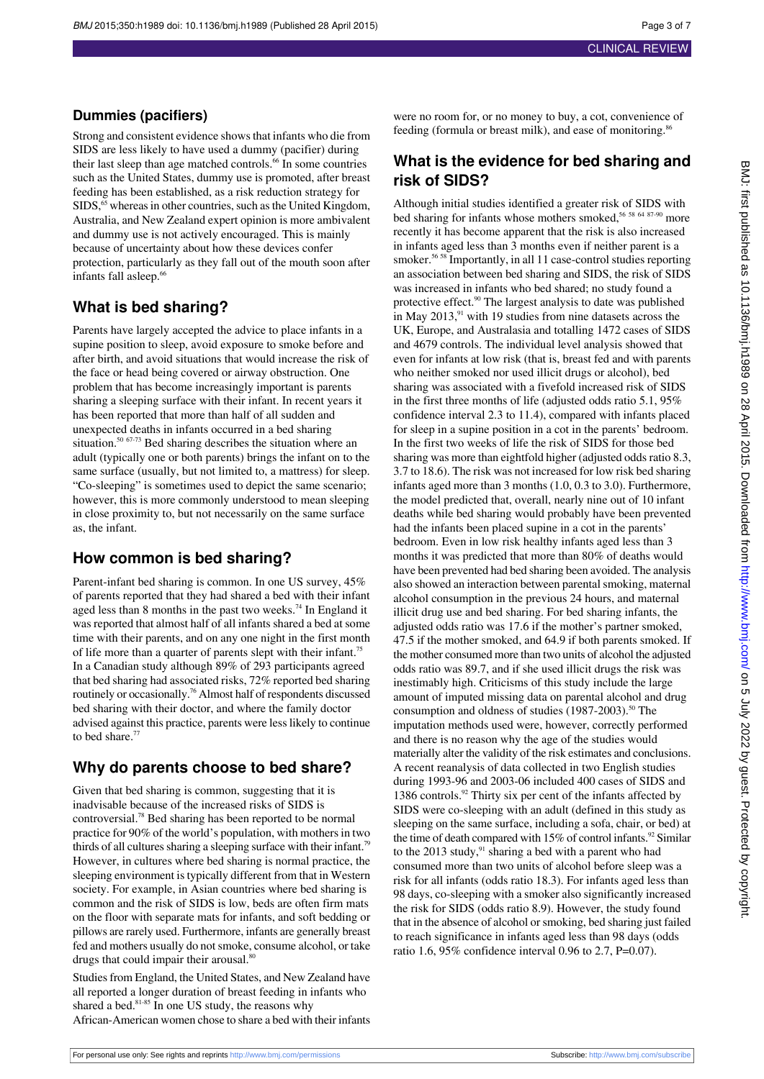### **Dummies (pacifiers)**

Strong and consistent evidence shows that infants who die from SIDS are less likely to have used a dummy (pacifier) during their last sleep than age matched controls.<sup>66</sup> In some countries such as the United States, dummy use is promoted, after breast feeding has been established, as a risk reduction strategy for  $SIDS$ ,  $\delta$ <sup>5</sup> whereas in other countries, such as the United Kingdom, Australia, and New Zealand expert opinion is more ambivalent and dummy use is not actively encouraged. This is mainly because of uncertainty about how these devices confer protection, particularly as they fall out of the mouth soon after infants fall asleep.<sup>66</sup>

### **What is bed sharing?**

Parents have largely accepted the advice to place infants in a supine position to sleep, avoid exposure to smoke before and after birth, and avoid situations that would increase the risk of the face or head being covered or airway obstruction. One problem that has become increasingly important is parents sharing a sleeping surface with their infant. In recent years it has been reported that more than half of all sudden and unexpected deaths in infants occurred in a bed sharing situation.<sup>50 67-73</sup> Bed sharing describes the situation where an adult (typically one or both parents) brings the infant on to the same surface (usually, but not limited to, a mattress) for sleep. "Co-sleeping" is sometimes used to depict the same scenario; however, this is more commonly understood to mean sleeping in close proximity to, but not necessarily on the same surface as, the infant.

#### **How common is bed sharing?**

Parent-infant bed sharing is common. In one US survey, 45% of parents reported that they had shared a bed with their infant aged less than 8 months in the past two weeks.<sup>74</sup> In England it was reported that almost half of all infants shared a bed at some time with their parents, and on any one night in the first month of life more than a quarter of parents slept with their infant.<sup>75</sup> In a Canadian study although 89% of 293 participants agreed that bed sharing had associated risks, 72% reported bed sharing routinely or occasionally.<sup>76</sup> Almost half of respondents discussed bed sharing with their doctor, and where the family doctor advised against this practice, parents were less likely to continue to bed share.<sup>77</sup>

### **Why do parents choose to bed share?**

Given that bed sharing is common, suggesting that it is inadvisable because of the increased risks of SIDS is controversial.<sup>78</sup> Bed sharing has been reported to be normal practice for 90% of the world's population, with mothers in two thirds of all cultures sharing a sleeping surface with their infant.<sup>79</sup> However, in cultures where bed sharing is normal practice, the sleeping environment is typically different from that in Western society. For example, in Asian countries where bed sharing is common and the risk of SIDS is low, beds are often firm mats on the floor with separate mats for infants, and soft bedding or pillows are rarely used. Furthermore, infants are generally breast fed and mothers usually do not smoke, consume alcohol, or take drugs that could impair their arousal.<sup>80</sup>

Studies from England, the United States, and New Zealand have all reported a longer duration of breast feeding in infants who shared a bed.<sup>81-85</sup> In one US study, the reasons why African-American women chose to share a bed with their infants

were no room for, or no money to buy, a cot, convenience of feeding (formula or breast milk), and ease of monitoring.<sup>86</sup>

### **What is the evidence for bed sharing and risk of SIDS?**

Although initial studies identified a greater risk of SIDS with bed sharing for infants whose mothers smoked,<sup>56 58 64 87-90</sup> more recently it has become apparent that the risk is also increased in infants aged less than 3 months even if neither parent is a smoker.<sup>56 58</sup> Importantly, in all 11 case-control studies reporting an association between bed sharing and SIDS, the risk of SIDS was increased in infants who bed shared; no study found a protective effect.<sup>90</sup> The largest analysis to date was published in May  $2013$ ,<sup>91</sup> with 19 studies from nine datasets across the UK, Europe, and Australasia and totalling 1472 cases of SIDS and 4679 controls. The individual level analysis showed that even for infants at low risk (that is, breast fed and with parents who neither smoked nor used illicit drugs or alcohol), bed sharing was associated with a fivefold increased risk of SIDS in the first three months of life (adjusted odds ratio 5.1, 95% confidence interval 2.3 to 11.4), compared with infants placed for sleep in a supine position in a cot in the parents' bedroom. In the first two weeks of life the risk of SIDS for those bed sharing was more than eightfold higher (adjusted odds ratio 8.3, 3.7 to 18.6). The risk was not increased for low risk bed sharing infants aged more than 3 months (1.0, 0.3 to 3.0). Furthermore, the model predicted that, overall, nearly nine out of 10 infant deaths while bed sharing would probably have been prevented had the infants been placed supine in a cot in the parents' bedroom. Even in low risk healthy infants aged less than 3 months it was predicted that more than 80% of deaths would have been prevented had bed sharing been avoided. The analysis also showed an interaction between parental smoking, maternal alcohol consumption in the previous 24 hours, and maternal illicit drug use and bed sharing. For bed sharing infants, the adjusted odds ratio was 17.6 if the mother's partner smoked, 47.5 if the mother smoked, and 64.9 if both parents smoked. If the mother consumed more than two units of alcohol the adjusted odds ratio was 89.7, and if she used illicit drugs the risk was inestimably high. Criticisms of this study include the large amount of imputed missing data on parental alcohol and drug consumption and oldness of studies  $(1987-2003)$ .<sup>50</sup> The imputation methods used were, however, correctly performed and there is no reason why the age of the studies would materially alter the validity of the risk estimates and conclusions. A recent reanalysis of data collected in two English studies during 1993-96 and 2003-06 included 400 cases of SIDS and 1386 controls.<sup>92</sup> Thirty six per cent of the infants affected by SIDS were co-sleeping with an adult (defined in this study as sleeping on the same surface, including a sofa, chair, or bed) at the time of death compared with  $15\%$  of control infants.<sup>92</sup> Similar to the 2013 study, $91$  sharing a bed with a parent who had consumed more than two units of alcohol before sleep was a risk for all infants (odds ratio 18.3). For infants aged less than 98 days, co-sleeping with a smoker also significantly increased the risk for SIDS (odds ratio 8.9). However, the study found that in the absence of alcohol or smoking, bed sharing just failed to reach significance in infants aged less than 98 days (odds ratio 1.6, 95% confidence interval 0.96 to 2.7, P=0.07).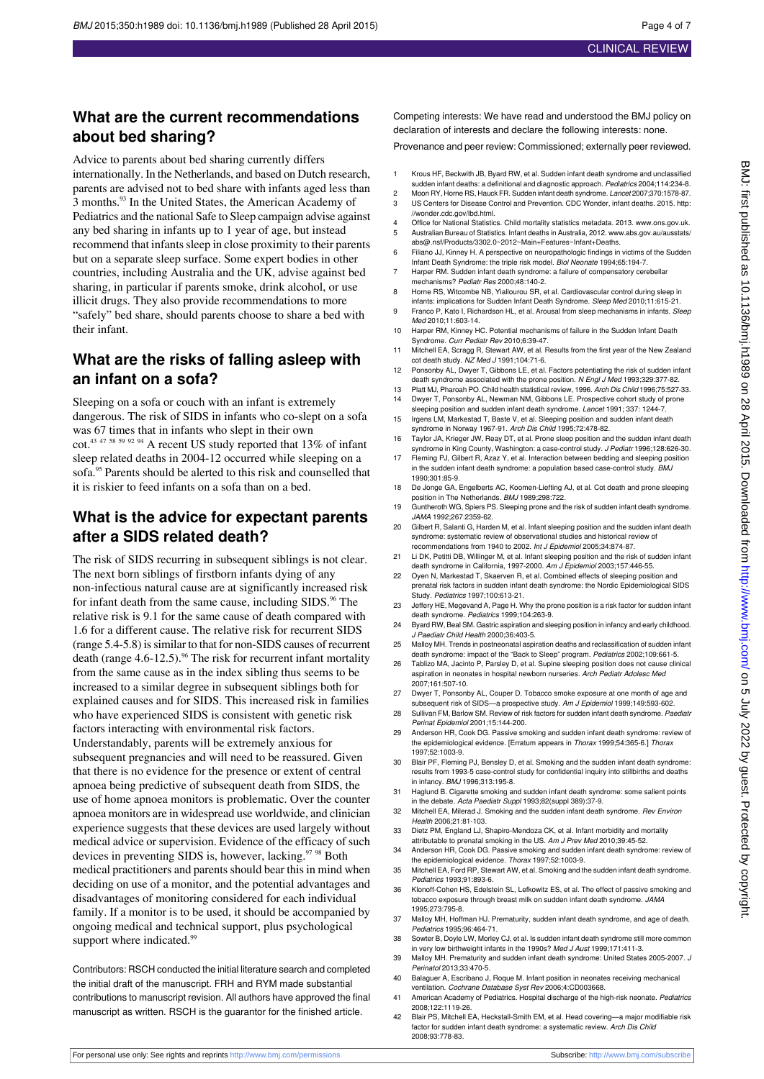### **What are the current recommendations about bed sharing?**

Advice to parents about bed sharing currently differs internationally. In the Netherlands, and based on Dutch research, parents are advised not to bed share with infants aged less than 3 months.<sup>93</sup> In the United States, the American Academy of Pediatrics and the national Safe to Sleep campaign advise against any bed sharing in infants up to 1 year of age, but instead recommend that infants sleep in close proximity to their parents but on a separate sleep surface. Some expert bodies in other countries, including Australia and the UK, advise against bed sharing, in particular if parents smoke, drink alcohol, or use illicit drugs. They also provide recommendations to more "safely" bed share, should parents choose to share a bed with their infant.

### **What are the risks of falling asleep with an infant on a sofa?**

Sleeping on a sofa or couch with an infant is extremely dangerous. The risk of SIDS in infants who co-slept on a sofa was 67 times that in infants who slept in their own cot.<sup>43 47 58 59 92 94</sup> A recent US study reported that 13% of infant sleep related deaths in 2004-12 occurred while sleeping on a sofa.<sup>95</sup> Parents should be alerted to this risk and counselled that it is riskier to feed infants on a sofa than on a bed.

#### **What is the advice for expectant parents after a SIDS related death?**

The risk of SIDS recurring in subsequent siblings is not clear. The next born siblings of firstborn infants dying of any non-infectious natural cause are at significantly increased risk for infant death from the same cause, including SIDS.<sup>96</sup> The relative risk is 9.1 for the same cause of death compared with 1.6 for a different cause. The relative risk for recurrent SIDS (range 5.4-5.8) is similar to that for non-SIDS causes of recurrent death (range  $4.6$ -12.5).<sup>96</sup> The risk for recurrent infant mortality from the same cause as in the index sibling thus seems to be increased to a similar degree in subsequent siblings both for explained causes and for SIDS. This increased risk in families who have experienced SIDS is consistent with genetic risk factors interacting with environmental risk factors. Understandably, parents will be extremely anxious for subsequent pregnancies and will need to be reassured. Given that there is no evidence for the presence or extent of central apnoea being predictive of subsequent death from SIDS, the use of home apnoea monitors is problematic. Over the counter apnoea monitors are in widespread use worldwide, and clinician experience suggests that these devices are used largely without medical advice or supervision. Evidence of the efficacy of such devices in preventing SIDS is, however, lacking.<sup>97 98</sup> Both medical practitioners and parents should bear this in mind when deciding on use of a monitor, and the potential advantages and disadvantages of monitoring considered for each individual family. If a monitor is to be used, it should be accompanied by ongoing medical and technical support, plus psychological support where indicated.<sup>99</sup>

Contributors: RSCH conducted the initial literature search and completed the initial draft of the manuscript. FRH and RYM made substantial contributions to manuscript revision. All authors have approved the final manuscript as written. RSCH is the guarantor for the finished article.

Competing interests: We have read and understood the BMJ policy on declaration of interests and declare the following interests: none.

Provenance and peer review: Commissioned; externally peer reviewed.

- 1 Krous HF, Beckwith JB, Byard RW, et al. Sudden infant death syndrome and unclassified sudden infant deaths: a definitional and diagnostic approach. Pediatrics 2004;114:234-8.
- 2 Moon RY, Horne RS, Hauck FR. Sudden infant death syndrome. Lancet 2007;370:1578-87.<br>23 IS Centers for Disease Control and Prevention. CDC Wonder, infant deaths. 2015. http: 3 US Centers for Disease Control and Prevention. CDC Wonder, infant deaths. 2015. [http:](http://wonder.cdc.gov/lbd.html) [//wonder.cdc.gov/lbd.html.](http://wonder.cdc.gov/lbd.html)
- 4 Office for National Statistics. Child mortality statistics metadata. 2013. [www.ons.gov.uk](http://www.ons.gov.uk).<br>5 Australian Bureau of Statistics. Infant deaths in Australia. 2012. www.abs.gov.au/ausstats 5 Australian Bureau of Statistics. Infant deaths in Australia, 2012. [www.abs.gov.au/ausstats/](http://www.abs.gov.au/ausstats/abs@.nsf/Products/3302.0~2012~Main+Features~Infant+Deaths) [abs@.nsf/Products/3302.0~2012~Main+Features~Infant+Deaths](http://www.abs.gov.au/ausstats/abs@.nsf/Products/3302.0~2012~Main+Features~Infant+Deaths).
- 6 Filiano JJ, Kinney H. A perspective on neuropathologic findings in victims of the Sudden Infant Death Syndrome: the triple risk model. Biol Neonate 1994;65:194-7.
- 7 Harper RM. Sudden infant death syndrome: a failure of compensatory cerebellar mechanisms? Pediatr Res 2000;48:140-2.
- Horne RS, Witcombe NB, Yiallourou SR, et al. Cardiovascular control during sleep in infants: implications for Sudden Infant Death Syndrome. Sleep Med 2010;11:615-21.
- 9 Franco P, Kato I, Richardson HL, et al. Arousal from sleep mechanisms in infants. Sleep Med 2010;11:603-14.
- 10 Harper RM, Kinney HC. Potential mechanisms of failure in the Sudden Infant Death Syndrome. Curr Pediatr Rev 2010;6:39-47.
- 11 Mitchell EA, Scragg R, Stewart AW, et al. Results from the first year of the New Zealand cot death study. NZ Med J 1991;104:71-6.
- 12 Ponsonby AL, Dwyer T, Gibbons LE, et al. Factors potentiating the risk of sudden infant death syndrome associated with the prone position. N Engl J Med 1993;329:377-82.
- 13 Platt MJ, Pharoah PO. Child health statistical review, 1996. Arch Dis Child 1996;75:527-33. 14 Dwyer T, Ponsonby AL, Newman NM, Gibbons LE. Prospective cohort study of prone
- sleeping position and sudden infant death syndrome. Lancet 1991; 337: 1244-7.
- 15 Irgens LM, Markestad T, Baste V, et al. Sleeping position and sudden infant death<br>syndrome in Norway 1967-91. Arch Dis Child 1995;72:478-82.
- 16 Taylor JA, Krieger JW, Reay DT, et al. Prone sleep position and the sudden infant death syndrome in King County, Washington: a case-control study. J Pediatr 1996;128:626-30.
- 17 Fleming PJ, Gilbert R, Azaz Y, et al. Interaction between bedding and sleeping position in the sudden infant death syndrome: a population based case-control study. BMJ
- 1990;301:85-9. 18 De Jonge GA, Engelberts AC, Koomen-Liefting AJ, et al. Cot death and prone sleeping position in The Netherlands. BMJ 1989;298:722.
- 19 Guntheroth WG, Spiers PS. Sleeping prone and the risk of sudden infant death syndrome. JAMA 1992;267:2359-62.
- 20 Gilbert R, Salanti G, Harden M, et al. Infant sleeping position and the sudden infant death syndrome: systematic review of observational studies and historical review of
- recommendations from 1940 to 2002. Int J Epidemiol 2005;34:874-87. 21 Li DK, Petitti DB, Willinger M, et al. Infant sleeping position and the risk of sudden infant death syndrome in California, 1997-2000. Am J Epidemiol 2003;157:446-55.
- 22 Oyen N, Markestad T, Skaerven R, et al. Combined effects of sleeping position and prenatal risk factors in sudden infant death syndrome: the Nordic Epidemiological SIDS Study. Pediatrics 1997;100:613-21.
- 23 Jeffery HE, Megevand A, Page H. Why the prone position is a risk factor for sudden infant death syndrome. Pediatrics 1999;104:263-9.
- 24 Byard RW, Beal SM. Gastric aspiration and sleeping position in infancy and early childhood. J Paediatr Child Health 2000;36:403-5.
- 25 Malloy MH. Trends in postneonatal aspiration deaths and reclassification of sudden infant death syndrome: impact of the "Back to Sleep" program. Pediatrics 2002;109:661-5.
- 26 Tablizo MA, Jacinto P, Parsley D, et al. Supine sleeping position does not cause clinical aspiration in neonates in hospital newborn nurseries. Arch Pediatr Adolesc Med 2007;161:507-10.
- 27 Dwyer T, Ponsonby AL, Couper D. Tobacco smoke exposure at one month of age and subsequent risk of SIDS-a prospective study. Am J Epidemiol 1999;149:593-602.
- 28 Sullivan FM, Barlow SM. Review of risk factors for sudden infant death syndrome. Paediatr Perinat Epidemiol 2001;15:144-200.
- 29 Anderson HR, Cook DG. Passive smoking and sudden infant death syndrome: review of the epidemiological evidence. [Erratum appears in Thorax 1999;54:365-6.] Thorax 1997;52:1003-9.
- 30 Blair PF, Fleming PJ, Bensley D, et al. Smoking and the sudden infant death syndrome: results from 1993-5 case-control study for confidential inquiry into stillbirths and deaths in infancy. BMJ 1996;313:195-8.
- 31 Haglund B. Cigarette smoking and sudden infant death syndrome: some salient points in the debate. Acta Paediatr Suppl 1993;82(suppl 389):37-9.
- 32 Mitchell EA, Milerad J. Smoking and the sudden infant death syndrome. Rev Environ Health 2006;21:81-103.
- 33 Dietz PM, England LJ, Shapiro-Mendoza CK, et al. Infant morbidity and mortality attributable to prenatal smoking in the US. Am J Prev Med 2010;39:45-52.
- 34 Anderson HR, Cook DG. Passive smoking and sudden infant death syndrome: review of the epidemiological evidence. Thorax 1997;52:1003-9.
- 35 Mitchell EA, Ford RP, Stewart AW, et al. Smoking and the sudden infant death syndrome. Pediatrics 1993;91:893-6.
- 36 Klonoff-Cohen HS, Edelstein SL, Lefkowitz ES, et al. The effect of passive smoking and tobacco exposure through breast milk on sudden infant death syndrome. JAMA
- 1995;273:795-8. 37 Malloy MH, Hoffman HJ. Prematurity, sudden infant death syndrome, and age of death. Pediatrics 1995;96:464-71.
- 38 Sowter B, Doyle LW, Morley CJ, et al. Is sudden infant death syndrome still more common in very low birthweight infants in the 1990s? Med J Aust 1999;171:411-3.
- 39 Malloy MH. Prematurity and sudden infant death syndrome: United States 2005-2007. J Perinatol 2013;33:470-5.
- 40 Balaguer A, Escribano J, Roque M. Infant position in neonates receiving mechanical ventilation. Cochrane Database Syst Rev 2006;4:CD003668.
- 41 American Academy of Pediatrics. Hospital discharge of the high-risk neonate. Pediatrics 2008;122:1119-26.
- 42 Blair PS, Mitchell EA, Heckstall-Smith EM, et al. Head covering—a major modifiable risk factor for sudden infant death syndrome: a systematic review. Arch Dis Child 2008;93:778-83.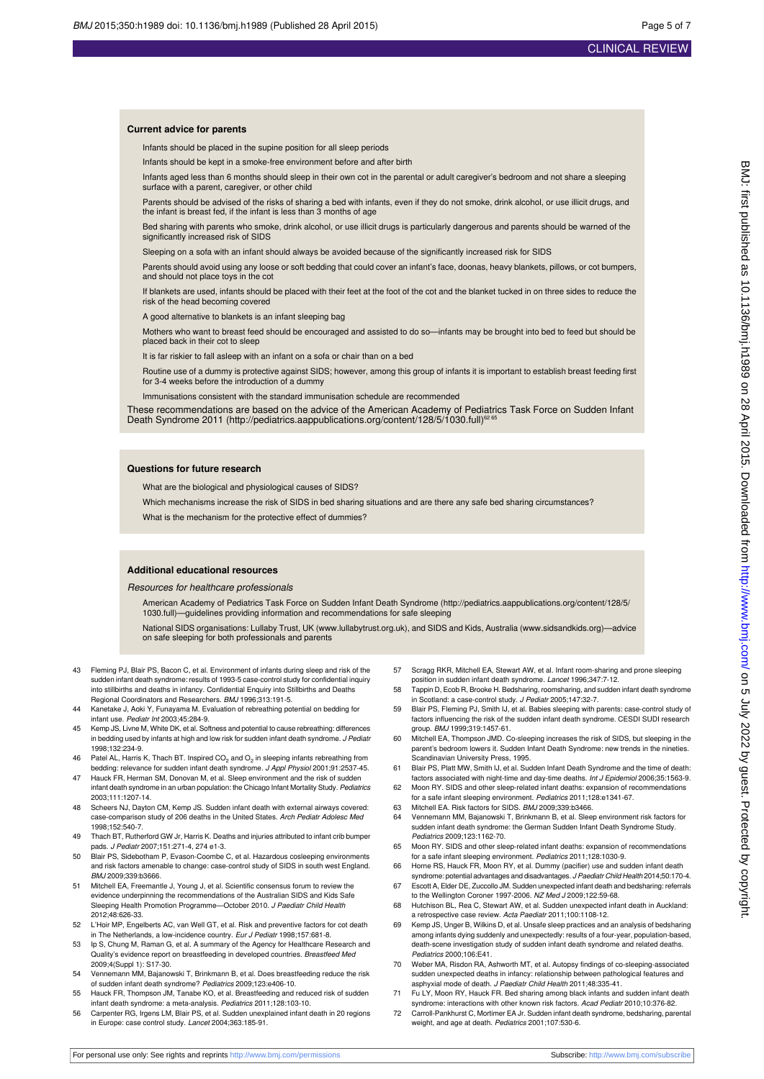#### **Current advice for parents**

Infants should be placed in the supine position for all sleep periods

Infants should be kept in a smoke-free environment before and after birth

Infants aged less than 6 months should sleep in their own cot in the parental or adult caregiver's bedroom and not share a sleeping surface with a parent, caregiver, or other child

Parents should be advised of the risks of sharing a bed with infants, even if they do not smoke, drink alcohol, or use illicit drugs, and the infant is breast fed, if the infant is less than 3 months of age

Bed sharing with parents who smoke, drink alcohol, or use illicit drugs is particularly dangerous and parents should be warned of the significantly increased risk of SIDS

Sleeping on a sofa with an infant should always be avoided because of the significantly increased risk for SIDS

Parents should avoid using any loose or soft bedding that could cover an infant's face, doonas, heavy blankets, pillows, or cot bumpers, and should not place toys in the cot

If blankets are used, infants should be placed with their feet at the foot of the cot and the blanket tucked in on three sides to reduce the risk of the head becoming covered

A good alternative to blankets is an infant sleeping bag

Mothers who want to breast feed should be encouraged and assisted to do so—infants may be brought into bed to feed but should be placed back in their cot to sleep

It is far riskier to fall asleep with an infant on a sofa or chair than on a bed

Routine use of a dummy is protective against SIDS; however, among this group of infants it is important to establish breast feeding first for 3-4 weeks before the introduction of a dummy

Immunisations consistent with the standard immunisation schedule are recommended

These recommendations are based on the advice of the American Academy of Pediatrics Task Force on Sudden Infant DeathSyndrome 2011 ([http://pediatrics.aappublications.org/content/128/5/1030.full\)](http://pediatrics.aappublications.org/content/128/5/1030.full)<sup>62 6</sup>

#### **Questions for future research**

What are the biological and physiological causes of SIDS?

Which mechanisms increase the risk of SIDS in bed sharing situations and are there any safe bed sharing circumstances? What is the mechanism for the protective effect of dummies?

#### **Additional educational resources**

Resources for healthcare professionals

American Academy of Pediatrics Task Force on Sudden Infant Death Syndrome([http://pediatrics.aappublications.org/content/128/5/](http://pediatrics.aappublications.org/content/128/5/1030.full) [1030.full\)](http://pediatrics.aappublications.org/content/128/5/1030.full)—guidelines providing information and recommendations for safe sleeping

National SIDS organisations: Lullaby Trust, UK [\(www.lullabytrust.org.uk](http://www.lullabytrust.org.uk/)), and SIDS and Kids, Australia([www.sidsandkids.org\)](http://www.sidsandkids.org/)—advice on safe sleeping for both professionals and parents

- 43 Fleming PJ, Blair PS, Bacon C, et al. Environment of infants during sleep and risk of the sudden infant death syndrome: results of 1993-5 case-control study for confidential inquiry into stillbirths and deaths in infancy. Confidential Enquiry into Stillbirths and Deaths Regional Coordinators and Researchers. BMJ 1996;313:191-5.
- 44 Kanetake J, Aoki Y, Funayama M. Evaluation of rebreathing potential on bedding for infant use. Pediatr Int 2003;45:284-9.
- 45 Kemp JS, Livne M, White DK, et al. Softness and potential to cause rebreathing: differences in bedding used by infants at high and low risk for sudden infant death syndrome. J Pediatr 1998;132:234-9.
- 46 Patel AL, Harris K, Thach BT. Inspired CO<sub>2</sub> and O<sub>2</sub> in sleeping infants rebreathing from bedding: relevance for sudden infant death syndrome. J Appl Physiol 2001;91:2537-45.
- 47 Hauck FR, Herman SM, Donovan M, et al. Sleep environment and the risk of sudden infant death syndrome in an urban population: the Chicago Infant Mortality Study. Pediatrics 2003;111:1207-14.
- 48 Scheers NJ, Dayton CM, Kemp JS. Sudden infant death with external airways covered: case-comparison study of 206 deaths in the United States. Arch Pediatr Adolesc Med 1998;152:540-7.
- 49 Thach BT, Rutherford GW Jr, Harris K. Deaths and injuries attributed to infant crib bumper pads. J Pediatr 2007;151:271-4, 274 e1-3.
- 50 Blair PS, Sidebotham P, Evason-Coombe C, et al. Hazardous cosleeping environments and risk factors amenable to change: case-control study of SIDS in south west England. BMJ 2009;339:b3666.
- 51 Mitchell EA, Freemantle J, Young J, et al. Scientific consensus forum to review the evidence underpinning the recommendations of the Australian SIDS and Kids Safe Sleeping Health Promotion Programme—October 2010. J Paediatr Child Health 2012;48:626-33.
- 52 L'Hoir MP, Engelberts AC, van Well GT, et al. Risk and preventive factors for cot death in The Netherlands, a low-incidence country. Eur J Pediatr 1998;157:681-8.
- 53 Ip S, Chung M, Raman G, et al. A summary of the Agency for Healthcare Research and Quality's evidence report on breastfeeding in developed countries. Breastfeed Med 2009;4(Suppl 1): S17-30.
- 54 Vennemann MM, Bajanowski T, Brinkmann B, et al. Does breastfeeding reduce the risk of sudden infant death syndrome? Pediatrics 2009;123:e406-10.
- 55 Hauck FR, Thompson JM, Tanabe KO, et al. Breastfeeding and reduced risk of sudden infant death syndrome: a meta-analysis. Pediatrics 2011;128:103-10.
- 56 Carpenter RG, Irgens LM, Blair PS, et al. Sudden unexplained infant death in 20 regions in Europe: case control study. Lancet 2004;363:185-91.
- 57 Scragg RKR, Mitchell EA, Stewart AW, et al. Infant room-sharing and prone sleeping position in sudden infant death syndrome. Lancet 1996;347:7-12.
- 58 Tappin D, Ecob R, Brooke H. Bedsharing, roomsharing, and sudden infant death syndrome in Scotland: a case-control study. J Pediatr 2005;147:32-7.
- 59 Blair PS, Fleming PJ, Smith IJ, et al. Babies sleeping with parents: case-control study of factors influencing the risk of the sudden infant death syndrome. CESDI SUDI rese group. BMJ 1999:319:1457-61
- 60 Mitchell EA, Thompson JMD. Co-sleeping increases the risk of SIDS, but sleeping in the parent's bedroom lowers it. Sudden Infant Death Syndrome: new trends in the nineties. Scandinavian University Press, 1995.
- 61 Blair PS, Platt MW, Smith IJ, et al. Sudden Infant Death Syndrome and the time of death: factors associated with night-time and day-time deaths. Int J Epidemiol 2006;35:1563-9.
- 62 Moon RY. SIDS and other sleep-related infant deaths: expansion of recommendations for a safe infant sleeping environment. Pediatrics 2011;128:e1341-67.
- 63 Mitchell EA. Risk factors for SIDS. BMJ 2009;339:b3466.
- 64 Vennemann MM, Bajanowski T, Brinkmann B, et al. Sleep environment risk factors for sudden infant death syndrome: the German Sudden Infant Death Syndrome Study. Pediatrics 2009;123:1162-70.
- 65 Moon RY. SIDS and other sleep-related infant deaths: expansion of recommendations for a safe infant sleeping environment. Pediatrics 2011;128:1030-9.
- 66 Horne RS, Hauck FR, Moon RY, et al. Dummy (pacifier) use and sudden infant death syndrome: potential advantages and disadvantages. J Paediatr Child Health 2014;50:170-4.
- 67 Escott A, Elder DE, Zuccollo JM. Sudden unexpected infant death and bedsharing: referrals to the Wellington Coroner 1997-2006. NZ Med J 2009;122:59-68.
- 68 Hutchison BL, Rea C, Stewart AW, et al. Sudden unexpected infant death in Auckland: a retrospective case review. Acta Paediatr 2011;100:1108-12.
- 69 Kemp JS, Unger B, Wilkins D, et al. Unsafe sleep practices and an analysis of bedsharing among infants dying suddenly and unexpectedly: results of a four-year, population-based, death-scene investigation study of sudden infant death syndrome and related deaths. Pediatrics 2000;106:E41.
- 70 Weber MA, Risdon RA, Ashworth MT, et al. Autopsy findings of co-sleeping-associated sudden unexpected deaths in infancy: relationship between pathological features and asphyxial mode of death. J Paediatr Child Health 2011;48:335-41.
- 71 Fu LY, Moon RY, Hauck FR. Bed sharing among black infants and sudden infant death syndrome: interactions with other known risk factors. Acad Pediatr 2010;10:376-82.
- 72 Carroll-Pankhurst C, Mortimer EA Jr. Sudden infant death syndrome, bedsharing, parental weight, and age at death. *Pediatrics* 2001;107:530-6.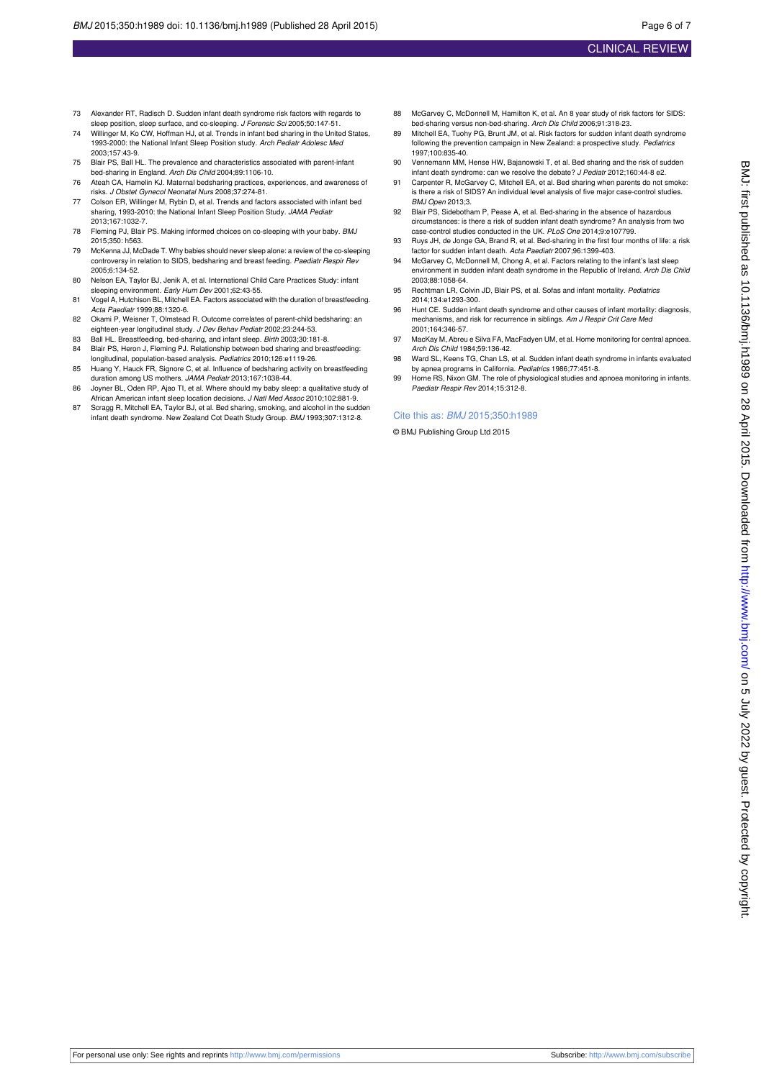- 73 Alexander RT, Radisch D. Sudden infant death syndrome risk factors with regards to sleep position, sleep surface, and co-sleeping. J Forensic Sci 2005;50:147-51.
- 74 Willinger M, Ko CW, Hoffman HJ, et al. Trends in infant bed sharing in the United States, 1993-2000: the National Infant Sleep Position study. Arch Pediatr Adolesc Med 2003;157:43-9.
- 75 Blair PS, Ball HL. The prevalence and characteristics associated with parent-infant bed-sharing in England. Arch Dis Child 2004;89:1106-10.
- 76 Ateah CA, Hamelin KJ. Maternal bedsharing practices, experiences, and awareness of risks. J Obstet Gynecol Neonatal Nurs 2008;37:274-81.
- 77 Colson ER, Willinger M, Rybin D, et al. Trends and factors associated with infant bed sharing, 1993-2010: the National Infant Sleep Position Study. JAMA Pediatr 2013;167:1032-7.
- 78 Fleming PJ, Blair PS. Making informed choices on co-sleeping with your baby. BMJ 2015;350: h563.
- 79 McKenna JJ, McDade T. Why babies should never sleep alone: a review of the co-sleeping controversy in relation to SIDS, bedsharing and breast feeding. Paediatr Respir Rev 2005;6:134-52.
- 80 Nelson EA, Taylor BJ, Jenik A, et al. International Child Care Practices Study: infant sleeping environment. Early Hum Dev 2001;62:43-55.
- 81 Vogel A, Hutchison BL, Mitchell EA. Factors associated with the duration of breastfeeding. Acta Paediatr 1999;88:1320-6.
- 82 Okami P, Weisner T, Olmstead R. Outcome correlates of parent-child bedsharing: an eighteen-year longitudinal study. J Dev Behav Pediatr 2002;23:244-53.
- 83 Ball HL. Breastfeeding, bed-sharing, and infant sleep. Birth 2003;30:181-8.<br>84 Blair PS, Heron J. Fleming PJ. Relationship between bed sharing and brea
- Blair PS, Heron J, Fleming PJ. Relationship between bed sharing and breastfeeding: longitudinal, population-based analysis. Pediatrics 2010;126:e1119-26.
- 85 Huang Y, Hauck FR, Signore C, et al. Influence of bedsharing activity on breastfeeding duration among US mothers. JAMA Pediatr 2013;167:1038-44.
- 86 Joyner BL, Oden RP, Ajao TI, et al. Where should my baby sleep: a qualitative study of African American infant sleep location decisions. J Natl Med Assoc 2010;102:881-9.
- 87 Scragg R, Mitchell EA, Taylor BJ, et al. Bed sharing, smoking, and alcohol in the sudden infant death syndrome. New Zealand Cot Death Study Group. BMJ 1993;307:1312-8.
- 88 McGarvey C, McDonnell M, Hamilton K, et al. An 8 year study of risk factors for SIDS bed-sharing versus non-bed-sharing. Arch Dis Child 2006;91:318-23.
- 89 Mitchell EA, Tuohy PG, Brunt JM, et al. Risk factors for sudden infant death syndrome following the prevention campaign in New Zealand: a prospective study. Pediate 1997;100:835-40.
- 90 Vennemann MM, Hense HW, Bajanowski T, et al. Bed sharing and the risk of sudden infant death syndrome: can we resolve the debate? J Pediatr 2012;160:44-8 e2.
- 91 Carpenter R, McGarvey C, Mitchell EA, et al. Bed sharing when parents do not smoke: is there a risk of SIDS? An individual level analysis of five major case-control studies. BMJ Open 2013;3.
- 92 Blair PS, Sidebotham P, Pease A, et al. Bed-sharing in the absence of hazardous circumstances: is there a risk of sudden infant death syndrome? An analysis from two case-control studies conducted in the UK. PLoS One 2014;9:e107799.
- 93 Ruys JH, de Jonge GA, Brand R, et al. Bed-sharing in the first four months of life: a risk factor for sudden infant death. Acta Paediatr 2007;96:1399-403.
- 94 McGarvey C, McDonnell M, Chong A, et al. Factors relating to the infant's last sleep environment in sudden infant death syndrome in the Republic of Ireland. Arch Dis Child 2003;88:1058-64.
- 95 Rechtman LR, Colvin JD, Blair PS, et al. Sofas and infant mortality. Pediatrics 2014;134:e1293-300.
- 96 Hunt CE. Sudden infant death syndrome and other causes of infant mortality: diagnosis, mechanisms, and risk for recurrence in siblings. Am J Respir Crit Care Med 2001;164:346-57.
- 97 MacKay M, Abreu e Silva FA, MacFadyen UM, et al. Home monitoring for central apnoea. Arch Dis Child 1984;59:136-42.
- 98 Ward SL, Keens TG, Chan LS, et al. Sudden infant death syndrome in infants evaluated by apnea programs in California. Pediatrics 1986;77:451-8.
- 99 Horne RS, Nixon GM. The role of physiological studies and apnoea monitoring in infants. Paediatr Respir Rev 2014;15:312-8.

#### Cite this as: BMJ 2015;350:h1989

© BMJ Publishing Group Ltd 2015